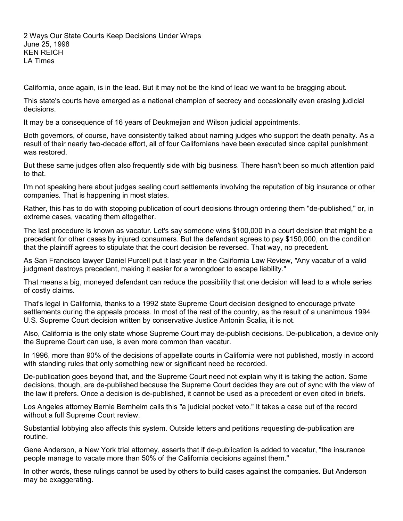2 Ways Our State Courts Keep Decisions Under Wraps June 25, 1998 KEN REICH LA Times

California, once again, is in the lead. But it may not be the kind of lead we want to be bragging about.

This state's courts have emerged as a national champion of secrecy and occasionally even erasing judicial decisions.

It may be a consequence of 16 years of Deukmejian and Wilson judicial appointments.

Both governors, of course, have consistently talked about naming judges who support the death penalty. As a result of their nearly two-decade effort, all of four Californians have been executed since capital punishment was restored.

But these same judges often also frequently side with big business. There hasn't been so much attention paid to that.

I'm not speaking here about judges sealing court settlements involving the reputation of big insurance or other companies. That is happening in most states.

Rather, this has to do with stopping publication of court decisions through ordering them "de-published," or, in extreme cases, vacating them altogether.

The last procedure is known as vacatur. Let's say someone wins \$100,000 in a court decision that might be a precedent for other cases by injured consumers. But the defendant agrees to pay \$150,000, on the condition that the plaintiff agrees to stipulate that the court decision be reversed. That way, no precedent.

As San Francisco lawyer Daniel Purcell put it last year in the California Law Review, "Any vacatur of a valid judgment destroys precedent, making it easier for a wrongdoer to escape liability."

That means a big, moneyed defendant can reduce the possibility that one decision will lead to a whole series of costly claims.

That's legal in California, thanks to a 1992 state Supreme Court decision designed to encourage private settlements during the appeals process. In most of the rest of the country, as the result of a unanimous 1994 U.S. Supreme Court decision written by conservative Justice Antonin Scalia, it is not.

Also, California is the only state whose Supreme Court may de-publish decisions. De-publication, a device only the Supreme Court can use, is even more common than vacatur.

In 1996, more than 90% of the decisions of appellate courts in California were not published, mostly in accord with standing rules that only something new or significant need be recorded.

De-publication goes beyond that, and the Supreme Court need not explain why it is taking the action. Some decisions, though, are de-published because the Supreme Court decides they are out of sync with the view of the law it prefers. Once a decision is de-published, it cannot be used as a precedent or even cited in briefs.

Los Angeles attorney Bernie Bernheim calls this "a judicial pocket veto." It takes a case out of the record without a full Supreme Court review.

Substantial lobbying also affects this system. Outside letters and petitions requesting de-publication are routine.

Gene Anderson, a New York trial attorney, asserts that if de-publication is added to vacatur, "the insurance people manage to vacate more than 50% of the California decisions against them."

In other words, these rulings cannot be used by others to build cases against the companies. But Anderson may be exaggerating.